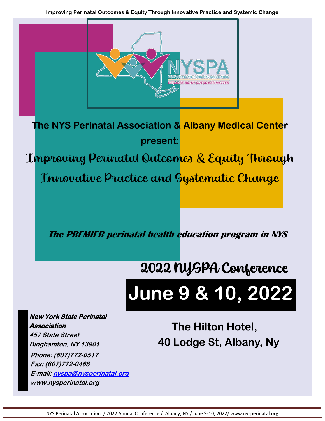

NYS Perinatal Association / 2022 Annual Conference / Albany, NY / June 9-10, 2022/ www.nysperinatal.org

**Binghamton, NY 13901** 

**Phone: (607)772-0517 Fax: (607)772-0468** 

**www.nysperinatal.org**

**E-mail: nyspa@nysperinatal.org**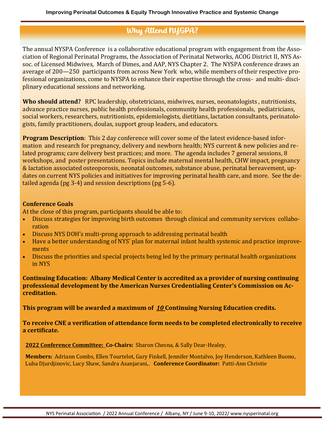# Why Attend NYSPA?

The annual NYSPA Conference is a collaborative educational program with engagement from the Association of Regional Perinatal Programs, the Association of Perinatal Networks, ACOG District II, NYS Assoc. of Licensed Midwives, March of Dimes, and AAP, NYS Chapter 2. The NYSPA conference draws an average of 200—250 participants from across New York who, while members of their respective professional organizations, come to NYSPA to enhance their expertise through the cross- and multi- disciplinary educational sessions and networking.

**Who should attend?** RPC leadership, obstetricians, midwives, nurses, neonatologists , nutritionists, advance practice nurses, public health professionals, community health professionals, pediatricians, social workers, researchers, nutritionists, epidemiologists, dietitians, lactation consultants, perinatologists, family practitioners, doulas, support group leaders, and educators.

**Program Description**: This 2 day conference will cover some of the latest evidence-based information and research for pregnancy, delivery and newborn health; NYS current & new policies and related programs; care delivery best practices; and more. The agenda includes 7 general sessions, 8 workshops, and poster presentations. Topics include maternal mental health, CHW impact, pregnancy & lactation associated osteoporosis, neonatal outcomes, substance abuse, perinatal bereavement, updates on current NYS policies and initiatives for improving perinatal health care, and more. See the detailed agenda (pg 3-4) and session descriptions (pg 5-6).

## **Conference Goals**

At the close of this program, participants should be able to:

- Discuss strategies for improving birth outcomes through clinical and community services collaboration
- Discuss NYS DOH's multi-prong approach to addressing perinatal health
- Have a better understanding of NYS' plan for maternal infant health systemic and practice improvements
- Discuss the priorities and special projects being led by the primary perinatal health organizations in NYS

**Continuing Education: Albany Medical Center is accredited as a provider of nursing continuing professional development by the American Nurses Credentialing Center's Commission on Accreditation.**

**This program will be awarded a maximum of** *10* **Continuing Nursing Education credits.**

**To receive CNE a verification of attendance form needs to be completed electronically to receive a certificate.**

**2022 Conference Committee: Co-Chairs:** Sharon Chesna, & Sally Dear-Healey,

**Members:** Adriann Combs, Ellen Tourtelot, Gary Finkell, Jennifer Montalvo, Joy Henderson, Kathleen Buono, Luba Djurdjinovic, Lucy Shaw, Sandra Asanjarani,. **Conference Coordinator:** Patti-Ann Christie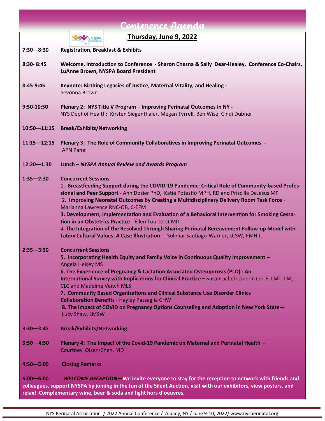| Conference Agenda |                                                                                                                                                                                                                                                                                                                                                                                                                                                                                                                                                                                                                                                                                                           |  |  |  |  |
|-------------------|-----------------------------------------------------------------------------------------------------------------------------------------------------------------------------------------------------------------------------------------------------------------------------------------------------------------------------------------------------------------------------------------------------------------------------------------------------------------------------------------------------------------------------------------------------------------------------------------------------------------------------------------------------------------------------------------------------------|--|--|--|--|
|                   | Thursday, June 9, 2022<br><b>NYSPA</b>                                                                                                                                                                                                                                                                                                                                                                                                                                                                                                                                                                                                                                                                    |  |  |  |  |
| $7:30 - 8:30$     | <b>Registration, Breakfast &amp; Exhibits</b>                                                                                                                                                                                                                                                                                                                                                                                                                                                                                                                                                                                                                                                             |  |  |  |  |
| 8:30-8:45         | Welcome, Introduction to Conference - Sharon Chesna & Sally Dear-Healey, Conference Co-Chairs,<br>LuAnne Brown, NYSPA Board President                                                                                                                                                                                                                                                                                                                                                                                                                                                                                                                                                                     |  |  |  |  |
| 8:45-9:45         | Keynote: Birthing Legacies of Justice, Maternal Vitality, and Healing -<br>Sevonna Brown                                                                                                                                                                                                                                                                                                                                                                                                                                                                                                                                                                                                                  |  |  |  |  |
| 9:50-10:50        | Plenary 2: NYS Title V Program - Improving Perinatal Outcomes in NY -<br>NYS Dept of Health: Kirsten Siegenthaler, Megan Tyrrell, Ben Wise, Cindi Dubner                                                                                                                                                                                                                                                                                                                                                                                                                                                                                                                                                  |  |  |  |  |
| $10:50 - 11:15$   | <b>Break/Exhibits/Networking</b>                                                                                                                                                                                                                                                                                                                                                                                                                                                                                                                                                                                                                                                                          |  |  |  |  |
| $11:15 - 12:15$   | Plenary 3: The Role of Community Collaboratives in Improving Perinatal Outcomes -<br><b>APN Panel</b>                                                                                                                                                                                                                                                                                                                                                                                                                                                                                                                                                                                                     |  |  |  |  |
| $12:20 - 1:30$    | Lunch - NYSPA Annual Review and Awards Program                                                                                                                                                                                                                                                                                                                                                                                                                                                                                                                                                                                                                                                            |  |  |  |  |
| $1:35 - 2:30$     | <b>Concurrent Sessions</b><br>1. Breastfeeding Support during the COVID-19 Pandemic: Critical Role of Community-based Profes-<br>sional and Peer Support - Ann Dozier PhD, Katie Potestio MPH, RD and Priscilla DeJesus MP<br>2. Improving Neonatal Outcomes by Creating a Multidisciplinary Delivery Room Task Force -<br>Marianna Lawrence RNC-OB, C-EFM<br>3. Development, Implementation and Evaluation of a Behavioral Intervention for Smoking Cessa-<br>tion in an Obstetrics Practice - Ellen Tourtelot MD<br>4. The Integration of the Resolved Through Sharing Perinatal Bereavement Follow-up Model with<br>Latinx Cultural Values: A Case Illustration - Solimar Santiago-Warner, LCSW, PMH-C |  |  |  |  |
| $2:35 - 3:30$     | <b>Concurrent Sessions</b><br>5. Incorporating Health Equity and Family Voice in Continuous Quality Improvement -<br><b>Angela Heisey MS</b><br>6. The Experience of Pregnancy & Lactation Associated Osteoporosis (PLO) : An<br>International Survey with Implications for Clinical Practice - Susanrachel Condon CCCE, LMT, LM,<br><b>CLC and Madeline Veitch MLS</b><br>7. Community Based Organizations and Clinical Substance Use Disorder Clinics<br><b>Collaboration Benefits - Hayley Pazzaglia CHW</b><br>8. The impact of COVID on Pregnancy Options Counseling and Adoption in New York State-<br>Lucy Shaw, LMSW                                                                              |  |  |  |  |
| $3:30 - 3:45$     | <b>Break/Exhibits/Networking</b>                                                                                                                                                                                                                                                                                                                                                                                                                                                                                                                                                                                                                                                                          |  |  |  |  |
| $3:50 - 4:50$     | Plenary 4: The Impact of the Covid-19 Pandemic on Maternal and Perinatal Health -<br>Courtney Olsen-Chen, MD                                                                                                                                                                                                                                                                                                                                                                                                                                                                                                                                                                                              |  |  |  |  |
| $4:50 - 5:00$     | <b>Closing Remarks</b>                                                                                                                                                                                                                                                                                                                                                                                                                                                                                                                                                                                                                                                                                    |  |  |  |  |
| $5.00 - 6.00$     | WELCOME RECEPTION-We invite everyone to stay for the reception to network with friends and                                                                                                                                                                                                                                                                                                                                                                                                                                                                                                                                                                                                                |  |  |  |  |

**5:00—6:00** *WELCOME RECEPTION—***We invite everyone to stay for the reception to network with friends and colleagues, support NYSPA by joining in the fun of the Silent Auction, visit with our exhibitors, view posters, and relax! Complementary wine, beer & soda and light hors d'oeuvres.**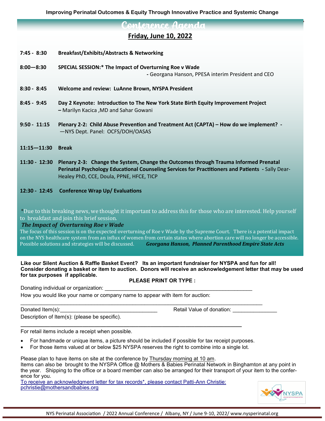nterence Agenda

# **Friday, June 10, 2022**

- **7:45 - 8:30 Breakfast/Exhibits/Abstracts & Networking**
- **8:00—8:30 SPECIAL SESSION:\* The Impact of Overturning Roe v Wade -** Georgana Hanson, PPESA interim President and CEO
- **8:30 - 8:45 Welcome and review: LuAnne Brown, NYSPA President**
- **8:45 - 9:45 Day 2 Keynote: Introduction to The New York State Birth Equity Improvement Project –** Marilyn Kacica ,MD and Sahar Gowani
- **9:50 - 11:15 Plenary 2-2: Child Abuse Prevention and Treatment Act (CAPTA) – How do we implement? -**  —NYS Dept. Panel: OCFS/DOH/OASAS
- **11:15—11:30 Break**
- **11:30 - 12:30 Plenary 2-3: Change the System, Change the Outcomes through Trauma Informed Prenatal Perinatal Psychology Educational Counseling Services for Practitioners and Patients -** Sally Dear-Healey PhD, CCE, Doula, PPNE, HFCE, TICP
- **12:30 - 12:45 Conference Wrap Up/ Evaluations**

\*Due to this breaking news, we thought it important to address this for those who are interested. Help yourself to breakfast and join this brief session.

### *The Impact of Overturning Roe v Wade*

The focus of this session is on the expected overturning of Roe v Wade by the Supreme Court. There is a potential impact on the NYS healthcare system from an influx of women from certain states where abortion care will no longer be accessible. Possible solutions and strategies will be discussed. *Georgana Hanson, Planned Parenthood Empire State Acts*

**Like our Silent Auction & Raffle Basket Event? Its an important fundraiser for NYSPA and fun for all! Consider donating a basket or item to auction. Donors will receive an acknowledgement letter that may be used for tax purposes if applicable.** 

### **PLEASE PRINT OR TYPE :**

Donating individual or organization:

How you would like your name or company name to appear with item for auction:

Description of Item(s): (please be specific).

Donated Item(s):\_\_\_\_\_\_\_\_\_\_\_\_\_\_\_\_\_\_\_\_\_\_\_\_\_\_\_\_\_\_\_\_\_ Retail Value of donation: \_\_\_\_\_\_\_\_\_\_\_\_\_\_\_

For retail items include a receipt when possible.

- For handmade or unique items, a picture should be included if possible for tax receipt purposes.
- For those items valued at or below \$25 NYSPA reserves the right to combine into a single lot.

**\_\_\_\_\_\_\_\_\_\_\_\_\_\_\_\_\_\_\_\_\_\_\_\_\_\_\_\_\_\_\_\_\_\_\_\_\_\_\_\_\_\_\_\_\_\_\_\_\_\_\_\_\_\_\_\_\_\_\_\_\_\_\_\_\_\_\_\_\_\_\_\_\_\_\_**

Please plan to have items on site at the conference by Thursday morning at 10 am. Items can also be brought to the NYSPA Office @ Mothers & Babies Perinatal Network in Binghamton at any point in the year. Shipping to the office or a board member can also be arranged for their transport of your item to the conference for you.

To receive an acknowledgment letter for tax records\*, please contact Patti-Ann Christie: pchristie@mothersandbabies.org

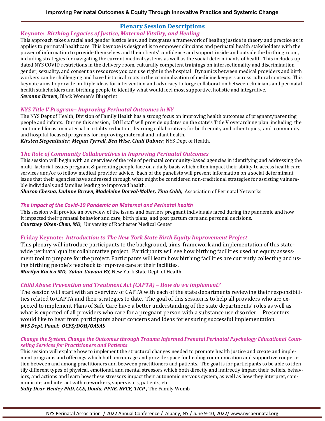# **Plenary Session Descriptions**

### **Keynote:** *Birthing Legacies of Justice, Maternal Vitality, and Healing*

This approach takes a racial and gender justice lens, and integrates a framework of healing justice in theory and practice as it applies to perinatal healthcare. This keynote is designed is to empower clinicians and perinatal health stakeholders with the power of information to provide themselves and their clients' confidence and support inside and outside the birthing room, including strategies for navigating the current medical systems as well as the social determinants of health. This includes updated NYS COVID restrictions in the delivery room, culturally competent trainings on intersectionality and discrimination, gender, sexuality, and consent as resources you can use right in the hospital. Dynamics between medical providers and birth workers can be challenging and have historical roots in the criminalization of medicine keepers across cultural contexts. This keynote aims to provide multiple ideas for intervention and advocacy to forge collaboration between clinicians and perinatal health stakeholders and birthing people to identify what would feel most supportive, holistic and integrative. *Sevonna Brown,* Black Women's Blueprint.

### *NYS Title V Program– Improving Perinatal Outcomes in NY*

The NYS Dept of Health, Division of Family Health has a strong focus on improving health outcomes of pregnant/parenting people and infants. During this session, DOH staff will provide updates on the state's Title V overarching plan including the continued focus on maternal mortality reduction, learning collaboratives for birth equity and other topics, and community and hospital focused programs for improving maternal and infant health.

*Kirsten Siegenthaler, Megan Tyrrell, Ben Wise, Cindi Dubner,* NYS Dept of Health*.*

### *The Role of Community Collaboratives in Improving Perinatal Outcomes*

This session will begin with an overview of the role of perinatal community-based agencies in identifying and addressing the multi-factorial issues pregnant & parenting people face on a daily basis which often impact their ability to access health care services and/or to follow medical provider advice. Each of the panelists will present information on a social determinant issue that their agencies have addressed through what might be considered non-traditional strategies for assisting vulnerable individuals and families leading to improved health.

*Sharon Chesna, LuAnne Brown, Madeleine Dorval-Moller, Tina Cobb,* Association of Perinatal Networks

### *The Impact of the Covid-19 Pandemic on Maternal and Perinatal health*

This session will provide an overview of the issues and barriers pregnant individuals faced during the pandemic and how It impacted their prenatal behavior and care, birth plans, and post partum care and personal decisions. *Courtney Olsen-Chen, MD,* University of Rochester Medical Center

# **Friday Keynote:** *Introduction to The New York State Birth Equity Improvement Project*

This plenary will introduce participants to the background, aims, framework and implementation of this statewide perinatal quality collaborative project. Participants will see how birthing facilities used an equity assessment tool to prepare for the project. Participants will learn how birthing facilities are currently collecting and using birthing people's feedback to improve care at their facilities.

*Marilyn Kacica MD, Sahar Gowani BS,* New York State Dept. of Health

# *Child Abuse Prevention and Treatment Act (CAPTA) – How do we implement?*

The session will start with an overview of CAPTA with each of the state departments reviewing their responsibilities related to CAPTA and their strategies to date. The goal of this session is to help all providers who are expected to implement Plans of Safe Care have a better understanding of the state departments' roles as well as what is expected of all providers who care for a pregnant person with a substance use disorder. Presenters would like to hear from participants about concerns and ideas for ensuring successful implementation. *NYS Dept. Panel: OCFS/DOH/OASAS* 

### *Change the System, Change the Outcomes through Trauma Informed Prenatal Perinatal Psychology Educational Counseling Services for Practitioners and Patients*

This session will explore how to implement the structural changes needed to promote health justice and create and implement programs and offerings which both encourage and provide space for healing communication and supportive cooperation between and among practitioners and between practitioners and patients. The goal is for participants to be able to identify different types of physical, emotional, and mental stressors which both directly and indirectly impact their beliefs, behaviors, and actions and learn how these stressors impact their autonomic nervous system, as well as how they interpret, communicate, and interact with co-workers, supervisors, patients, etc.

*Sally Dear-Healey PhD, CCE, Doula, PPNE, HFCE, TICP ,* The Family Womb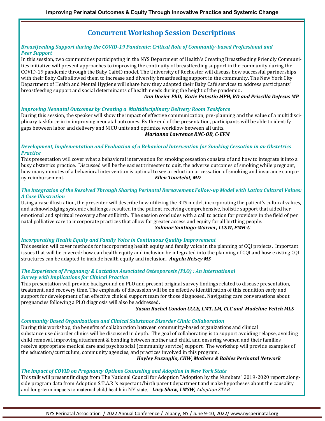# **Concurrent Workshop Session Descriptions**

#### *Breastfeeding Support during the COVID-19 Pandemic: Critical Role of Community-based Professional and Peer Support*

In this session, two communities participating in the NYS Department of Health's Creating Breastfeeding Friendly Communities initiative will present approaches to improving the continuity of breastfeeding support in the community during the COVID-19 pandemic through the Baby Café© model. The University of Rochester will discuss how successful partnerships with their Baby Cafe allowed them to increase and diversify breastfeeding support in the community. The New York City Department of Health and Mental Hygiene will share how they adapted their Baby Cafe services to address participants' breastfeeding support and social determinants of health needs during the height of the pandemic .

#### *Ann Dozier PhD, Katie Potestio MPH, RD and Priscilla DeJesus MP*

#### *Improving Neonatal Outcomes by Creating a Multidisciplinary Delivery Room Taskforce*

During this session, the speaker will show the impact of effective communication, pre-planning and the value of a multidisciplinary taskforce in in improving neonatal outcomes. By the end of the presentation, participants will be able to identify gaps between labor and delivery and NICU units and optimize workflow between all units.

#### *Marianna Lawrence RNC-OB, C-EFM*

#### *Development, Implementation and Evaluation of a Behavioral Intervention for Smoking Cessation in an Obstetrics Practice*

This presentation will cover what a behavioral intervention for smoking cessation consists of and how to integrate it into a busy obstetrics practice. Discussed will be the easiest trimester to quit, the adverse outcomes of smoking while pregnant, how many minutes of a behavioral intervention is optimal to see a reduction or cessation of smoking and insurance company reimbursement. *Ellen Tourtelot, MD*

#### *The Integration of the Resolved Through Sharing Perinatal Bereavement Follow-up Model with Latinx Cultural Values: A Case Illustration*

Using a case illustration, the presenter will describe how utilizing the RTS model, incorporating the patient's cultural values, and acknowledging systemic challenges resulted in the patient receiving comprehensive, holistic support that aided her emotional and spiritual recovery after stillbirth. The session concludes with a call to action for providers in the field of per natal palliative care to incorporate practices that allow for greater access and equity for all birthing people. *Solimar Santiago-Warner, LCSW, PMH-C*

#### *Incorporating Health Equity and Family Voice in Continuous Quality Improvement*

This session will cover methods for incorporating health equity and family voice in the planning of CQI projects. Important issues that will be covered: how can health equity and inclusion be integrated into the planning of CQI and how existing CQI structures can be adapted to include health equity and inclusion. *Angela Heisey MS*

#### *The Experience of Pregnancy & Lactation Associated Osteoporosis (PLO) : An International Survey with Implications for Clinical Practice*

This presentation will provide background on PLO and present original survey findings related to disease presentation, treatment, and recovery time. The emphasis of discussion will be on effective identification of this condition early and support for development of an effective clinical support team for those diagnosed. Navigating care conversations about pregnancies following a PLO diagnosis will also be addressed.

#### *Susan Rachel Condon CCCE, LMT, LM, CLC and Madeline Veitch MLS*

#### *Community Based Organizations and Clinical Substance Disorder Clinic Collaboration*

During this workshop, the benefits of collaboration between community-based organizations and clinical substance use disorder clinics will be discussed in depth. The goal of collaborating is to support avoiding relapse, avoiding child removal, improving attachment & bonding between mother and child, and ensuring women and their families receive appropriate medical care and psychosocial (community service) support. The workshop will provide examples of the education/curriculum, community agencies, and practices involved in this program.

#### *Hayley Pazzaglia, CHW, Mothers & Babies Perinatal Network*

#### *The impact of COVID on Pregnancy Options Counseling and Adoption in New York State*

This talk will present findings from The National Council for Adoption "Adoption by the Numbers" 2019-2020 report alongside program data from Adoption S.T.A.R.'s expectant/birth parent department and make hypotheses about the causality and long-term impacts to maternal child health in NY state. *Lucy Shaw, LMSW, Adoption STAR*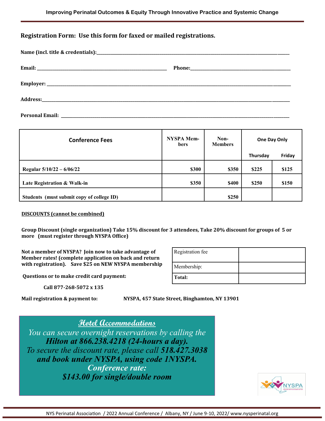### **Registration Form: Use this form for faxed or mailed registrations.**

| <b>Conference Fees</b>                    | NYSPA Mem-<br>bers | Non-<br><b>Members</b> | One Day Only |        |
|-------------------------------------------|--------------------|------------------------|--------------|--------|
|                                           |                    |                        | Thursday     | Friday |
| Regular $5/10/22 - 6/06/22$               | \$300              | \$350                  | \$225        | \$125  |
| Late Registration & Walk-in               | \$350              | <b>\$400</b>           | \$250        | \$150  |
| Students (must submit copy of college ID) |                    | \$250                  |              |        |

#### **DISCOUNTS (cannot be combined)**

**Group Discount (single organization) Take 15% discount for 3 attendees, Take 20% discount for groups of 5 or more (must register through NYSPA Office)**

**Not a member of NYSPA? Join now to take advantage of Member rates! (complete application on back and return with registration). Save \$25 on NEW NYSPA membership** 

**Questions or to make credit card payment:** 

 **Call 877-268-5072 x 135**

**Mail registration & payment to: NYSPA, 457 State Street, Binghamton, NY 13901**

**Total:**

Registration fee

Membership:

**Hotel Accommodations**  *You can secure overnight reservations by calling the Hilton at 866.238.4218 (24-hours a day). To secure the discount rate, please call 518.427.3038 and book under NYSPA, using code 1NYSPA. Conference rate: \$143.00 for single/double room*